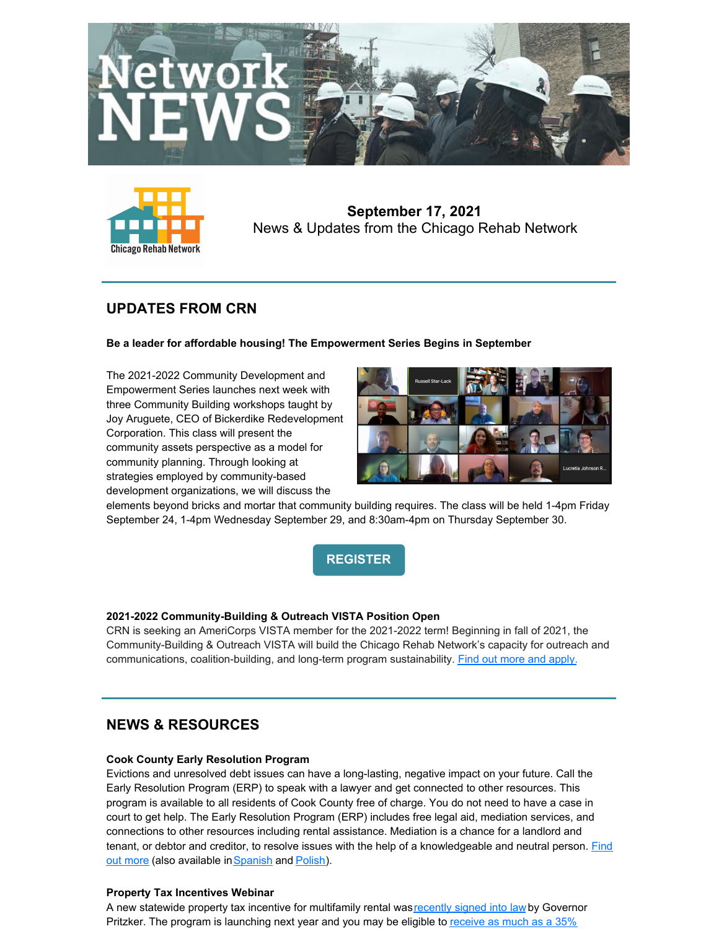



**September 17, 2021** News & Updates from the Chicago Rehab Network

# **UPDATES FROM CRN**

### **Be a leader for affordable housing! The Empowerment Series Begins in September**

The 2021-2022 Community Development and Empowerment Series launches next week with three Community Building workshops taught by Joy Aruguete, CEO of Bickerdike Redevelopment Corporation. This class will present the community assets perspective as a model for community planning. Through looking at strategies employed by community-based development organizations, we will discuss the



elements beyond bricks and mortar that community building requires. The class will be held 1-4pm Friday September 24, 1-4pm Wednesday September 29, and 8:30am-4pm on Thursday September 30.



## **2021-2022 Community-Building & Outreach VISTA Position Open**

CRN is seeking an AmeriCorps VISTA member for the 2021-2022 term! Beginning in fall of 2021, the Community-Building & Outreach VISTA will build the Chicago Rehab Network's capacity for outreach and communications, coalition-building, and long-term program sustainability. Find out more and [apply.](https://my.americorps.gov/mp/listing/viewListing.do?fromSearch=true&id=101806)

# **NEWS & RESOURCES**

### **Cook County Early Resolution Program**

Evictions and unresolved debt issues can have a long-lasting, negative impact on your future. Call the Early Resolution Program (ERP) to speak with a lawyer and get connected to other resources. This program is available to all residents of Cook County free of charge. You do not need to have a case in court to get help. The Early Resolution Program (ERP) includes free legal aid, mediation services, and connections to other resources including rental assistance. Mediation is a chance for a landlord and tenant, or debtor and creditor, to resolve issues with the help of a [knowledgeable](https://files.constantcontact.com/0be26ff6001/4b67f3ca-2db9-4010-ae36-0ae39c72f9ea.pdf?rdr=true) and neutral person. Find out more (also available in [Spanish](https://files.constantcontact.com/0be26ff6001/2f8bce80-ded5-46d6-bd02-df213cedbfe0.pdf?rdr=true) and [Polish](https://files.constantcontact.com/0be26ff6001/84f0fc3b-8d7e-4fae-a53a-84e5537bf35b.pdf?rdr=true)).

## **Property Tax Incentives Webinar**

A new statewide property tax incentive for multifamily rental was [recently](https://www.ilga.gov/legislation/publicacts/102/PDF/102-0175.pdf) signed into law by Governor Pritzker. The program is launching next year and you may be eligible to receive as much as a 35%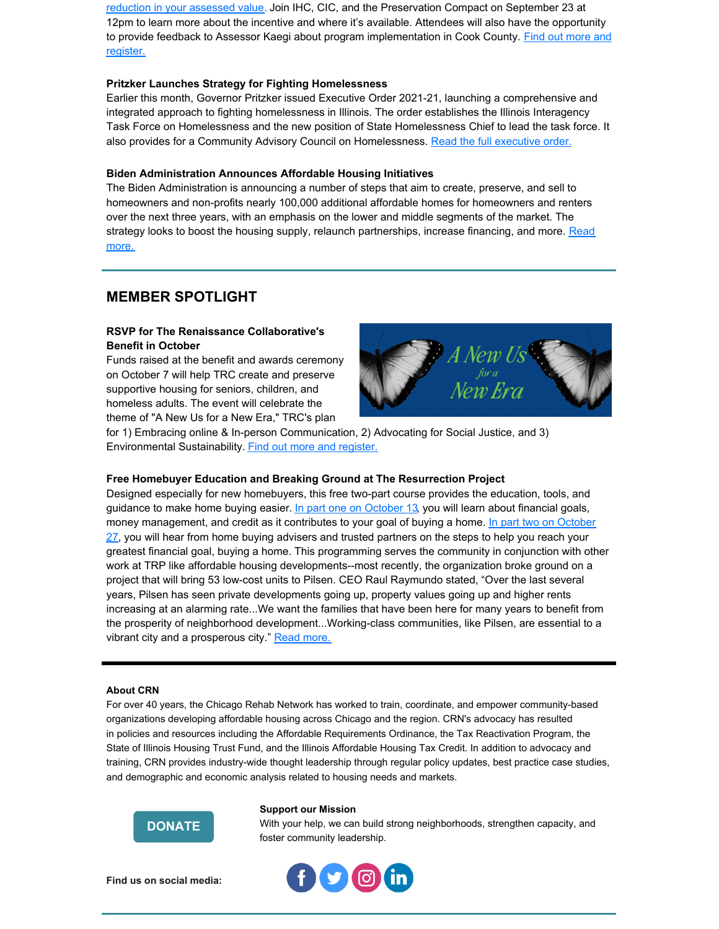reduction in your assessed value. Join IHC, CIC, and the [Preservation](https://www.preservationcompact.org/wp-content/uploads/2021/07/Property-Tax-Incentive-Table-7.27.21.pdf) Compact on September 23 at 12pm to learn more about the incentive and where it's available. Attendees will also have the opportunity to provide feedback to Assessor Kaegi about program [implementation](https://ilhousing.org/webinars/) in Cook County. Find out more and register.

#### **Pritzker Launches Strategy for Fighting Homelessness**

Earlier this month, Governor Pritzker issued Executive Order 2021-21, launching a comprehensive and integrated approach to fighting homelessness in Illinois. The order establishes the Illinois Interagency Task Force on Homelessness and the new position of State Homelessness Chief to lead the task force. It also provides for a Community Advisory Council on Homelessness. Read the full [executive](https://www.illinois.gov/news/press-release.23855.html) order.

#### **Biden Administration Announces Affordable Housing Initiatives**

The Biden Administration is announcing a number of steps that aim to create, preserve, and sell to homeowners and non-profits nearly 100,000 additional affordable homes for homeowners and renters over the next three years, with an emphasis on the lower and middle segments of the market. The strategy looks to boost the housing supply, relaunch [partnerships,](https://www.whitehouse.gov/briefing-room/statements-releases/2021/09/01/fact-sheet-biden-harris-administration-announces-immediate-steps-to-increase-affordable-housing-supply/) increase financing, and more. Read more.

## **MEMBER SPOTLIGHT**

### **RSVP for The Renaissance Collaborative's Benefit in October**

Funds raised at the benefit and awards ceremony on October 7 will help TRC create and preserve supportive housing for seniors, children, and homeless adults. The event will celebrate the theme of "A New Us for a New Era," TRC's plan



for 1) Embracing online & In-person Communication, 2) Advocating for Social Justice, and 3) Environmental Sustainability. Find out more and [register.](https://www.trcwabash.org/events/anewus)

#### **Free Homebuyer Education and Breaking Ground at The Resurrection Project**

Designed especially for new homebuyers, this free two-part course provides the education, tools, and guidance to make home buying easier. In part one on [October](https://resurrectionproject.tfaforms.net/f/webinar-registration?mid=a1E1R00000eCv5C) 13, you will learn about financial goals, money [management,](https://resurrectionproject.tfaforms.net/f/webinar-registration?mid=a1E1R00000eCv5H) and credit as it contributes to your goal of buying a home. In part two on October 27, you will hear from home buying advisers and trusted partners on the steps to help you reach your greatest financial goal, buying a home. This programming serves the community in conjunction with other work at TRP like affordable housing developments--most recently, the organization broke ground on a project that will bring 53 low-cost units to Pilsen. CEO Raul Raymundo stated, "Over the last several years, Pilsen has seen private developments going up, property values going up and higher rents increasing at an alarming rate...We want the families that have been here for many years to benefit from the prosperity of neighborhood development...Working-class communities, like Pilsen, are essential to a vibrant city and a prosperous city." Read [more.](https://blockclubchicago.org/2021/09/16/pilsen-nonprofit-breaks-ground-on-long-awaited-affordable-housing-project-we-believe-in-development-without-displacement/)

#### **About CRN**

For over 40 years, the Chicago Rehab Network has worked to train, coordinate, and empower community-based organizations developing affordable housing across Chicago and the region. CRN's advocacy has resulted in policies and resources including the Affordable Requirements Ordinance, the Tax Reactivation Program, the State of Illinois Housing Trust Fund, and the Illinois Affordable Housing Tax Credit. In addition to advocacy and training, CRN provides industry-wide thought leadership through regular policy updates, best practice case studies, and demographic and economic analysis related to housing needs and markets.



#### **Support our Mission**

With your help, we can build strong neighborhoods, strengthen capacity, and foster community leadership.



**Find us on social media:**